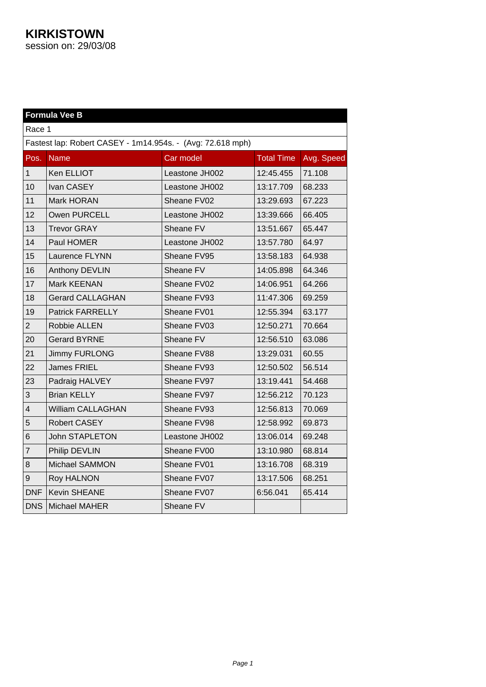|                         | <b>Formula Vee B</b>                                       |                |                   |            |  |
|-------------------------|------------------------------------------------------------|----------------|-------------------|------------|--|
|                         | Race 1                                                     |                |                   |            |  |
|                         | Fastest lap: Robert CASEY - 1m14.954s. - (Avg: 72.618 mph) |                |                   |            |  |
| Pos.                    | <b>Name</b>                                                | Car model      | <b>Total Time</b> | Avg. Speed |  |
| $\mathbf{1}$            | Ken ELLIOT                                                 | Leastone JH002 | 12:45.455         | 71.108     |  |
| 10                      | Ivan CASEY                                                 | Leastone JH002 | 13:17.709         | 68.233     |  |
| 11                      | Mark HORAN                                                 | Sheane FV02    | 13:29.693         | 67.223     |  |
| 12                      | Owen PURCELL                                               | Leastone JH002 | 13:39.666         | 66.405     |  |
| 13                      | <b>Trevor GRAY</b>                                         | Sheane FV      | 13:51.667         | 65.447     |  |
| 14                      | Paul HOMER                                                 | Leastone JH002 | 13:57.780         | 64.97      |  |
| 15                      | Laurence FLYNN                                             | Sheane FV95    | 13:58.183         | 64.938     |  |
| 16                      | Anthony DEVLIN                                             | Sheane FV      | 14:05.898         | 64.346     |  |
| 17                      | Mark KEENAN                                                | Sheane FV02    | 14:06.951         | 64.266     |  |
| 18                      | <b>Gerard CALLAGHAN</b>                                    | Sheane FV93    | 11:47.306         | 69.259     |  |
| 19                      | <b>Patrick FARRELLY</b>                                    | Sheane FV01    | 12:55.394         | 63.177     |  |
| $\overline{2}$          | Robbie ALLEN                                               | Sheane FV03    | 12:50.271         | 70.664     |  |
| 20                      | <b>Gerard BYRNE</b>                                        | Sheane FV      | 12:56.510         | 63.086     |  |
| 21                      | <b>Jimmy FURLONG</b>                                       | Sheane FV88    | 13:29.031         | 60.55      |  |
| 22                      | James FRIEL                                                | Sheane FV93    | 12:50.502         | 56.514     |  |
| 23                      | Padraig HALVEY                                             | Sheane FV97    | 13:19.441         | 54.468     |  |
| 3                       | <b>Brian KELLY</b>                                         | Sheane FV97    | 12:56.212         | 70.123     |  |
| $\overline{\mathbf{4}}$ | William CALLAGHAN                                          | Sheane FV93    | 12:56.813         | 70.069     |  |
| 5                       | Robert CASEY                                               | Sheane FV98    | 12:58.992         | 69.873     |  |
| 6                       | <b>John STAPLETON</b>                                      | Leastone JH002 | 13:06.014         | 69.248     |  |
| $\overline{7}$          | Philip DEVLIN                                              | Sheane FV00    | 13:10.980         | 68.814     |  |
| 8                       | Michael SAMMON                                             | Sheane FV01    | 13:16.708         | 68.319     |  |
| 9                       | <b>Roy HALNON</b>                                          | Sheane FV07    | 13:17.506         | 68.251     |  |
| <b>DNF</b>              | <b>Kevin SHEANE</b>                                        | Sheane FV07    | 6:56.041          | 65.414     |  |
| <b>DNS</b>              | Michael MAHER                                              | Sheane FV      |                   |            |  |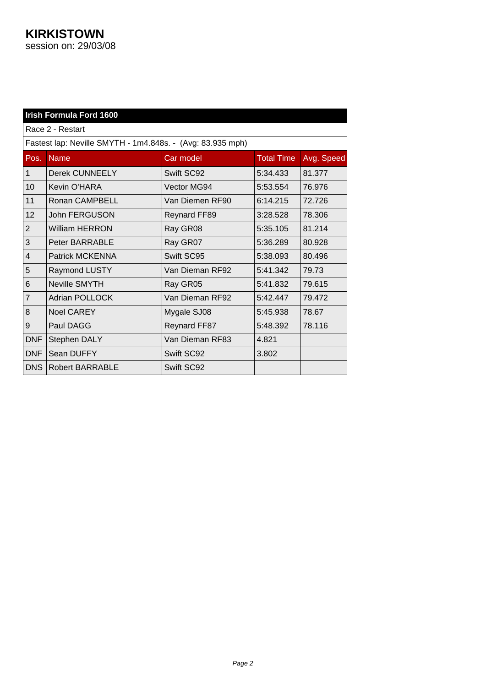|                | Irish Formula Ford 1600                                    |                     |                   |            |  |
|----------------|------------------------------------------------------------|---------------------|-------------------|------------|--|
|                | Race 2 - Restart                                           |                     |                   |            |  |
|                | Fastest lap: Neville SMYTH - 1m4.848s. - (Avg: 83.935 mph) |                     |                   |            |  |
| Pos.           | <b>Name</b>                                                | Car model           | <b>Total Time</b> | Avg. Speed |  |
| $\mathbf{1}$   | <b>Derek CUNNEELY</b>                                      | Swift SC92          | 5:34.433          | 81.377     |  |
| 10             | Kevin O'HARA                                               | Vector MG94         | 5:53.554          | 76.976     |  |
| 11             | Ronan CAMPBELL                                             | Van Diemen RF90     | 6:14.215          | 72.726     |  |
| 12             | John FERGUSON                                              | <b>Reynard FF89</b> | 3:28.528          | 78.306     |  |
| $\overline{2}$ | <b>William HERRON</b>                                      | Ray GR08            | 5:35.105          | 81.214     |  |
| 3              | Peter BARRABLE                                             | Ray GR07            | 5:36.289          | 80.928     |  |
| $\overline{4}$ | <b>Patrick MCKENNA</b>                                     | Swift SC95          | 5:38.093          | 80.496     |  |
| 5              | Raymond LUSTY                                              | Van Dieman RF92     | 5:41.342          | 79.73      |  |
| 6              | <b>Neville SMYTH</b>                                       | Ray GR05            | 5:41.832          | 79.615     |  |
| $\overline{7}$ | <b>Adrian POLLOCK</b>                                      | Van Dieman RF92     | 5:42.447          | 79.472     |  |
| 8              | <b>Noel CAREY</b>                                          | Mygale SJ08         | 5:45.938          | 78.67      |  |
| 9              | Paul DAGG                                                  | <b>Reynard FF87</b> | 5:48.392          | 78.116     |  |
| <b>DNF</b>     | Stephen DALY                                               | Van Dieman RF83     | 4.821             |            |  |
| <b>DNF</b>     | Sean DUFFY                                                 | Swift SC92          | 3.802             |            |  |
| <b>DNS</b>     | <b>Robert BARRABLE</b>                                     | Swift SC92          |                   |            |  |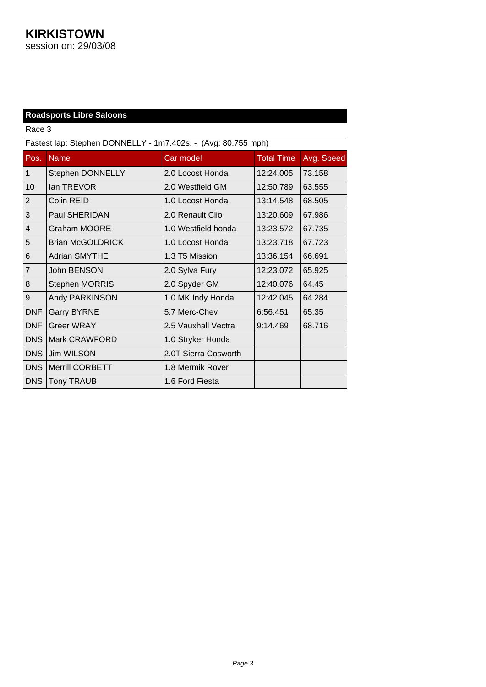|                | <b>Roadsports Libre Saloons</b>                               |                      |                   |            |  |
|----------------|---------------------------------------------------------------|----------------------|-------------------|------------|--|
| Race 3         |                                                               |                      |                   |            |  |
|                | Fastest lap: Stephen DONNELLY - 1m7.402s. - (Avg: 80.755 mph) |                      |                   |            |  |
| Pos.           | <b>Name</b>                                                   | Car model            | <b>Total Time</b> | Avg. Speed |  |
| $\mathbf{1}$   | Stephen DONNELLY                                              | 2.0 Locost Honda     | 12:24.005         | 73.158     |  |
| 10             | lan TREVOR                                                    | 2.0 Westfield GM     | 12:50.789         | 63.555     |  |
| $\overline{2}$ | Colin REID                                                    | 1.0 Locost Honda     | 13:14.548         | 68.505     |  |
| 3              | <b>Paul SHERIDAN</b>                                          | 2.0 Renault Clio     | 13:20.609         | 67.986     |  |
| $\overline{4}$ | <b>Graham MOORE</b>                                           | 1.0 Westfield honda  | 13:23.572         | 67.735     |  |
| 5              | <b>Brian McGOLDRICK</b>                                       | 1.0 Locost Honda     | 13:23.718         | 67.723     |  |
| 6              | <b>Adrian SMYTHE</b>                                          | 1.3 T5 Mission       | 13:36.154         | 66.691     |  |
| $\overline{7}$ | John BENSON                                                   | 2.0 Sylva Fury       | 12:23.072         | 65.925     |  |
| 8              | Stephen MORRIS                                                | 2.0 Spyder GM        | 12:40.076         | 64.45      |  |
| 9              | Andy PARKINSON                                                | 1.0 MK Indy Honda    | 12:42.045         | 64.284     |  |
| DNF            | <b>Garry BYRNE</b>                                            | 5.7 Merc-Chev        | 6:56.451          | 65.35      |  |
| <b>DNF</b>     | <b>Greer WRAY</b>                                             | 2.5 Vauxhall Vectra  | 9:14.469          | 68.716     |  |
| <b>DNS</b>     | Mark CRAWFORD                                                 | 1.0 Stryker Honda    |                   |            |  |
| <b>DNS</b>     | <b>Jim WILSON</b>                                             | 2.0T Sierra Cosworth |                   |            |  |
| DNS            | <b>Merrill CORBETT</b>                                        | 1.8 Mermik Rover     |                   |            |  |
| <b>DNS</b>     | Tony TRAUB                                                    | 1.6 Ford Fiesta      |                   |            |  |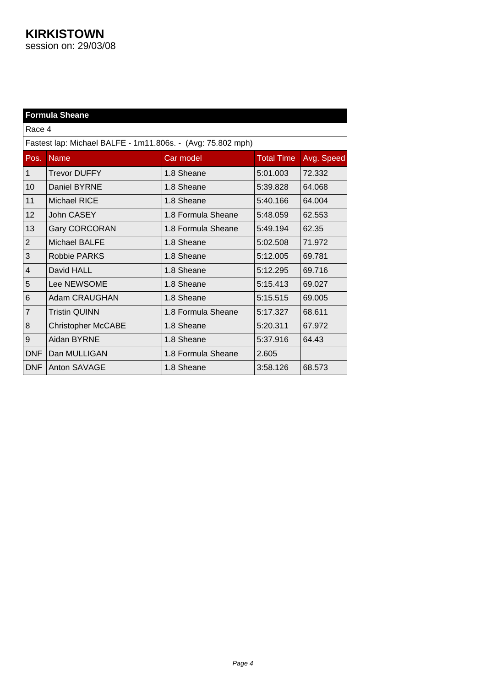|                | <b>Formula Sheane</b>                                       |                    |                   |            |  |
|----------------|-------------------------------------------------------------|--------------------|-------------------|------------|--|
| Race 4         |                                                             |                    |                   |            |  |
|                | Fastest lap: Michael BALFE - 1m11.806s. - (Avg: 75.802 mph) |                    |                   |            |  |
| Pos.           | <b>Name</b>                                                 | Car model          | <b>Total Time</b> | Avg. Speed |  |
| $\mathbf{1}$   | <b>Trevor DUFFY</b>                                         | 1.8 Sheane         | 5:01.003          | 72.332     |  |
| 10             | Daniel BYRNE                                                | 1.8 Sheane         | 5:39.828          | 64.068     |  |
| 11             | Michael RICE                                                | 1.8 Sheane         | 5:40.166          | 64.004     |  |
| 12             | John CASEY                                                  | 1.8 Formula Sheane | 5:48.059          | 62.553     |  |
| 13             | <b>Gary CORCORAN</b>                                        | 1.8 Formula Sheane | 5:49.194          | 62.35      |  |
| $\overline{2}$ | Michael BALFE                                               | 1.8 Sheane         | 5:02.508          | 71.972     |  |
| 3              | <b>Robbie PARKS</b>                                         | 1.8 Sheane         | 5:12.005          | 69.781     |  |
| 4              | David HALL                                                  | 1.8 Sheane         | 5:12.295          | 69.716     |  |
| 5              | Lee NEWSOME                                                 | 1.8 Sheane         | 5:15.413          | 69.027     |  |
| 6              | Adam CRAUGHAN                                               | 1.8 Sheane         | 5:15.515          | 69.005     |  |
| $\overline{7}$ | <b>Tristin QUINN</b>                                        | 1.8 Formula Sheane | 5:17.327          | 68.611     |  |
| 8              | <b>Christopher McCABE</b>                                   | 1.8 Sheane         | 5:20.311          | 67.972     |  |
| 9              | Aidan BYRNE                                                 | 1.8 Sheane         | 5:37.916          | 64.43      |  |
| <b>DNF</b>     | Dan MULLIGAN                                                | 1.8 Formula Sheane | 2.605             |            |  |
| <b>DNF</b>     | Anton SAVAGE                                                | 1.8 Sheane         | 3:58.126          | 68.573     |  |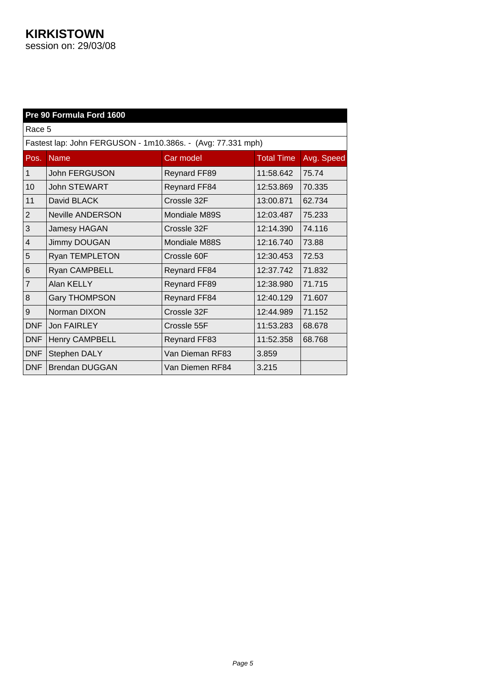|                | Pre 90 Formula Ford 1600                                    |                     |                   |            |  |
|----------------|-------------------------------------------------------------|---------------------|-------------------|------------|--|
| Race 5         |                                                             |                     |                   |            |  |
|                | Fastest lap: John FERGUSON - 1m10.386s. - (Avg: 77.331 mph) |                     |                   |            |  |
| Pos.           | <b>Name</b>                                                 | Car model           | <b>Total Time</b> | Avg. Speed |  |
| $\mathbf{1}$   | John FERGUSON                                               | <b>Reynard FF89</b> | 11:58.642         | 75.74      |  |
| 10             | <b>John STEWART</b>                                         | <b>Reynard FF84</b> | 12:53.869         | 70.335     |  |
| 11             | David BLACK                                                 | Crossle 32F         | 13:00.871         | 62.734     |  |
| $\overline{2}$ | Neville ANDERSON                                            | Mondiale M89S       | 12:03.487         | 75.233     |  |
| 3              | Jamesy HAGAN                                                | Crossle 32F         | 12:14.390         | 74.116     |  |
| $\overline{4}$ | <b>Jimmy DOUGAN</b>                                         | Mondiale M88S       | 12:16.740         | 73.88      |  |
| 5              | Ryan TEMPLETON                                              | Crossle 60F         | 12:30.453         | 72.53      |  |
| 6              | Ryan CAMPBELL                                               | <b>Reynard FF84</b> | 12:37.742         | 71.832     |  |
| $\overline{7}$ | Alan KELLY                                                  | <b>Reynard FF89</b> | 12:38.980         | 71.715     |  |
| 8              | <b>Gary THOMPSON</b>                                        | Reynard FF84        | 12:40.129         | 71.607     |  |
| 9              | Norman DIXON                                                | Crossle 32F         | 12:44.989         | 71.152     |  |
| <b>DNF</b>     | Jon FAIRLEY                                                 | Crossle 55F         | 11:53.283         | 68.678     |  |
| <b>DNF</b>     | <b>Henry CAMPBELL</b>                                       | <b>Reynard FF83</b> | 11:52.358         | 68.768     |  |
| <b>DNF</b>     | Stephen DALY                                                | Van Dieman RF83     | 3.859             |            |  |
| <b>DNF</b>     | <b>Brendan DUGGAN</b>                                       | Van Diemen RF84     | 3.215             |            |  |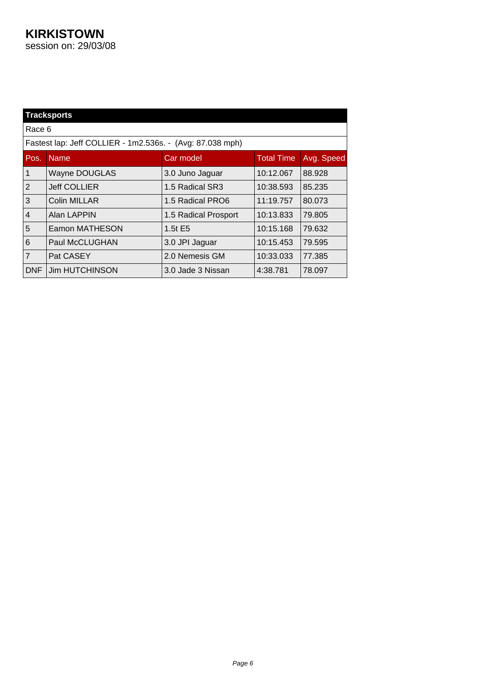| <b>Tracksports</b> |                                                           |                      |                   |            |
|--------------------|-----------------------------------------------------------|----------------------|-------------------|------------|
| Race 6             |                                                           |                      |                   |            |
|                    | Fastest lap: Jeff COLLIER - 1m2.536s. - (Avg: 87.038 mph) |                      |                   |            |
| Pos.               | <b>Name</b>                                               | Car model            | <b>Total Time</b> | Avg. Speed |
| 1                  | <b>Wayne DOUGLAS</b>                                      | 3.0 Juno Jaguar      | 10:12.067         | 88.928     |
| $\overline{2}$     | <b>Jeff COLLIER</b>                                       | 1.5 Radical SR3      | 10:38.593         | 85.235     |
| 3                  | Colin MILLAR                                              | 1.5 Radical PRO6     | 11:19.757         | 80.073     |
| $\overline{4}$     | Alan LAPPIN                                               | 1.5 Radical Prosport | 10:13.833         | 79.805     |
| 5                  | Eamon MATHESON                                            | 1.5t E5              | 10:15.168         | 79.632     |
| 6                  | Paul McCLUGHAN                                            | 3.0 JPI Jaguar       | 10:15.453         | 79.595     |
| $\overline{7}$     | Pat CASEY                                                 | 2.0 Nemesis GM       | 10:33.033         | 77.385     |
| <b>DNF</b>         | <b>Jim HUTCHINSON</b>                                     | 3.0 Jade 3 Nissan    | 4:38.781          | 78.097     |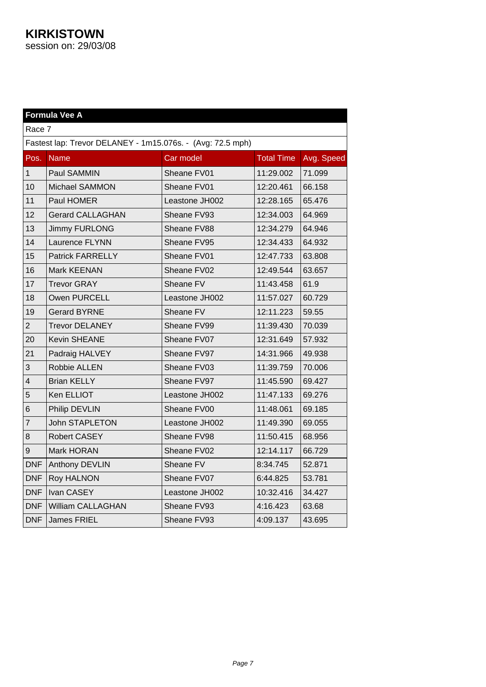| Formula Vee A           |                                                            |                |                   |            |  |
|-------------------------|------------------------------------------------------------|----------------|-------------------|------------|--|
|                         | Race 7                                                     |                |                   |            |  |
|                         | Fastest lap: Trevor DELANEY - 1m15.076s. - (Avg: 72.5 mph) |                |                   |            |  |
| Pos.                    | <b>Name</b>                                                | Car model      | <b>Total Time</b> | Avg. Speed |  |
| $\mathbf{1}$            | Paul SAMMIN                                                | Sheane FV01    | 11:29.002         | 71.099     |  |
| 10                      | <b>Michael SAMMON</b>                                      | Sheane FV01    | 12:20.461         | 66.158     |  |
| 11                      | Paul HOMER                                                 | Leastone JH002 | 12:28.165         | 65.476     |  |
| 12                      | <b>Gerard CALLAGHAN</b>                                    | Sheane FV93    | 12:34.003         | 64.969     |  |
| 13                      | Jimmy FURLONG                                              | Sheane FV88    | 12:34.279         | 64.946     |  |
| 14                      | Laurence FLYNN                                             | Sheane FV95    | 12:34.433         | 64.932     |  |
| 15                      | <b>Patrick FARRELLY</b>                                    | Sheane FV01    | 12:47.733         | 63.808     |  |
| 16                      | Mark KEENAN                                                | Sheane FV02    | 12:49.544         | 63.657     |  |
| 17                      | <b>Trevor GRAY</b>                                         | Sheane FV      | 11:43.458         | 61.9       |  |
| 18                      | Owen PURCELL                                               | Leastone JH002 | 11:57.027         | 60.729     |  |
| 19                      | <b>Gerard BYRNE</b>                                        | Sheane FV      | 12:11.223         | 59.55      |  |
| $\overline{2}$          | <b>Trevor DELANEY</b>                                      | Sheane FV99    | 11:39.430         | 70.039     |  |
| 20                      | <b>Kevin SHEANE</b>                                        | Sheane FV07    | 12:31.649         | 57.932     |  |
| 21                      | Padraig HALVEY                                             | Sheane FV97    | 14:31.966         | 49.938     |  |
| 3                       | Robbie ALLEN                                               | Sheane FV03    | 11:39.759         | 70.006     |  |
| $\overline{\mathbf{4}}$ | <b>Brian KELLY</b>                                         | Sheane FV97    | 11:45.590         | 69.427     |  |
| 5                       | Ken ELLIOT                                                 | Leastone JH002 | 11:47.133         | 69.276     |  |
| 6                       | Philip DEVLIN                                              | Sheane FV00    | 11:48.061         | 69.185     |  |
| 7                       | <b>John STAPLETON</b>                                      | Leastone JH002 | 11:49.390         | 69.055     |  |
| 8                       | Robert CASEY                                               | Sheane FV98    | 11:50.415         | 68.956     |  |
| 9                       | Mark HORAN                                                 | Sheane FV02    | 12:14.117         | 66.729     |  |
| <b>DNF</b>              | Anthony DEVLIN                                             | Sheane FV      | 8:34.745          | 52.871     |  |
| <b>DNF</b>              | <b>Roy HALNON</b>                                          | Sheane FV07    | 6:44.825          | 53.781     |  |
| <b>DNF</b>              | Ivan CASEY                                                 | Leastone JH002 | 10:32.416         | 34.427     |  |
| <b>DNF</b>              | <b>William CALLAGHAN</b>                                   | Sheane FV93    | 4:16.423          | 63.68      |  |
| <b>DNF</b>              | <b>James FRIEL</b>                                         | Sheane FV93    | 4:09.137          | 43.695     |  |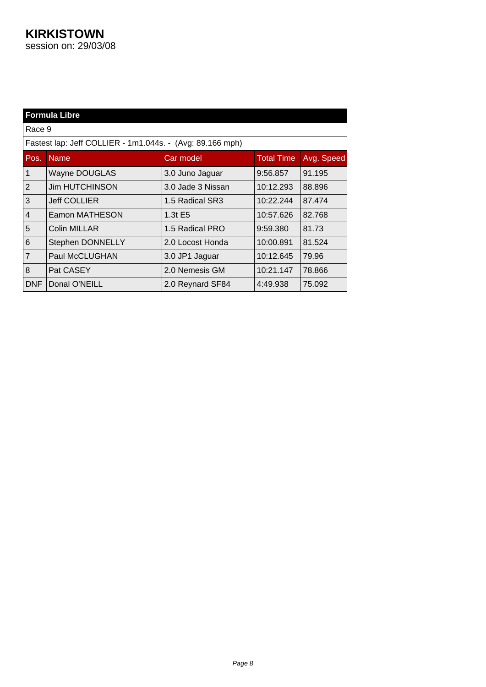|                | <b>Formula Libre</b>                                      |                   |                   |            |  |
|----------------|-----------------------------------------------------------|-------------------|-------------------|------------|--|
| Race 9         |                                                           |                   |                   |            |  |
|                | Fastest lap: Jeff COLLIER - 1m1.044s. - (Avg: 89.166 mph) |                   |                   |            |  |
| Pos.           | <b>Name</b>                                               | Car model         | <b>Total Time</b> | Avg. Speed |  |
| 1              | <b>Wayne DOUGLAS</b>                                      | 3.0 Juno Jaguar   | 9:56.857          | 91.195     |  |
| $\overline{2}$ | <b>Jim HUTCHINSON</b>                                     | 3.0 Jade 3 Nissan | 10:12.293         | 88.896     |  |
| 3              | <b>Jeff COLLIER</b>                                       | 1.5 Radical SR3   | 10:22.244         | 87.474     |  |
| $\overline{4}$ | Eamon MATHESON                                            | $1.3t$ E5         | 10:57.626         | 82.768     |  |
| 5              | <b>Colin MILLAR</b>                                       | 1.5 Radical PRO   | 9:59.380          | 81.73      |  |
| 6              | Stephen DONNELLY                                          | 2.0 Locost Honda  | 10:00.891         | 81.524     |  |
| $\overline{7}$ | Paul McCLUGHAN                                            | 3.0 JP1 Jaguar    | 10:12.645         | 79.96      |  |
| 8              | Pat CASEY                                                 | 2.0 Nemesis GM    | 10:21.147         | 78.866     |  |
| DNF            | Donal O'NEILL                                             | 2.0 Reynard SF84  | 4:49.938          | 75.092     |  |